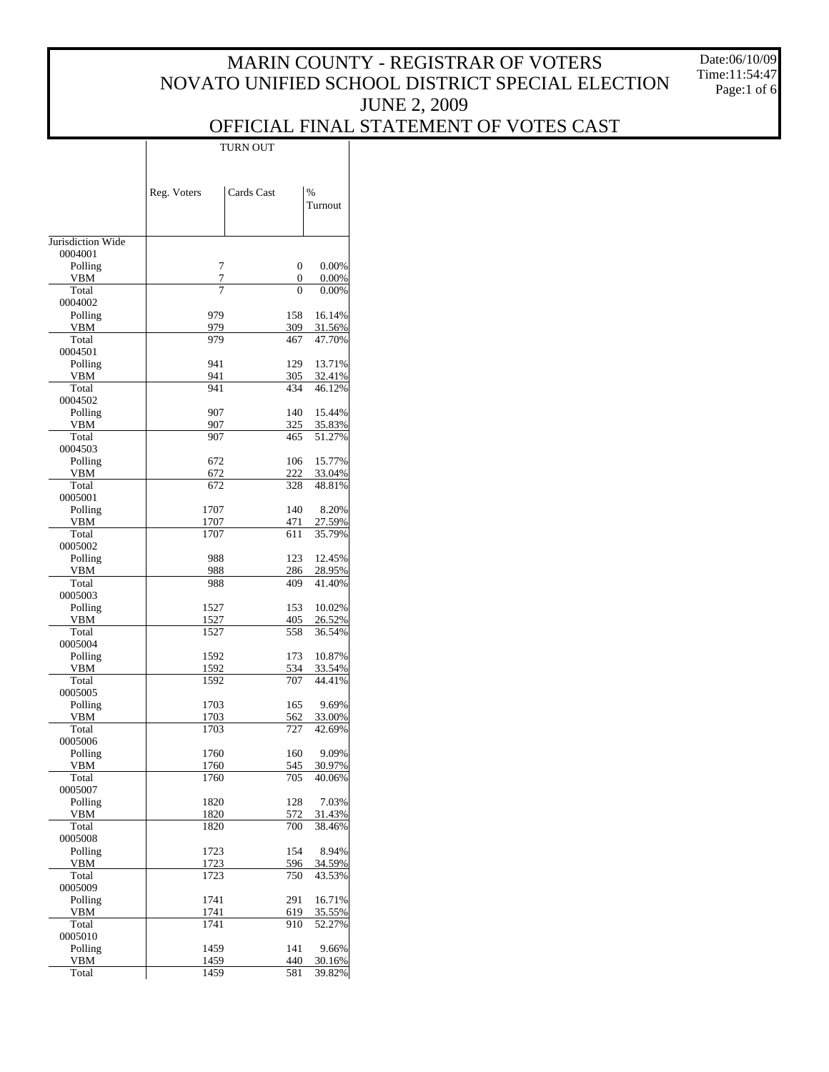Date:06/10/09 Time:11:54:47 Page:1 of 6

### OFFICIAL FINAL STATEMENT OF VOTES CAST

|                    | Reg. Voters  | Cards Cast |               | %<br>Turnout     |
|--------------------|--------------|------------|---------------|------------------|
| Jurisdiction Wide  |              |            |               |                  |
| 0004001            |              |            |               |                  |
| Polling            |              | 7          | 0             | 0.00%            |
| VBM<br>Total       |              | 7<br>7     | 0<br>$\Omega$ | 0.00%<br>0.00%   |
| 0004002            |              |            |               |                  |
| Polling            | 979          |            | 158           | 16.14%           |
| <b>VBM</b>         | 979          |            | 309           | 31.56%           |
| Total<br>0004501   | 979          |            | 467           | 47.70%           |
| Polling            | 941          |            | 129           | 13.71%           |
| VBM                | 941          |            | 305           | 32.41%           |
| Total              | 941          |            | 434           | 46.12%           |
| 0004502            |              |            |               |                  |
| Polling<br>VBM     | 907<br>907   |            | 140<br>325    | 15.44%<br>35.83% |
| Total              | 907          |            | 465           | 51.27%           |
| 0004503            |              |            |               |                  |
| Polling            | 672          |            | 106           | 15.77%           |
| VBM<br>Total       | 672<br>672   |            | 222<br>328    | 33.04%<br>48.81% |
| 0005001            |              |            |               |                  |
| Polling            | 1707         |            | 140           | 8.20%            |
| VBM                | 1707         |            | 471           | 27.59%           |
| Total              | 1707         |            | 611           | 35.79%           |
| 0005002<br>Polling | 988          |            | 123           | 12.45%           |
| VBM                | 988          |            | 286           | 28.95%           |
| Total              | 988          |            | 409           | 41.40%           |
| 0005003            |              |            |               |                  |
| Polling<br>VBM     | 1527<br>1527 |            | 153<br>405    | 10.02%<br>26.52% |
| Total              | 1527         |            | 558           | 36.54%           |
| 0005004            |              |            |               |                  |
| Polling            | 1592         |            | 173           | 10.87%           |
| VBM                | 1592         |            | 534           | 33.54%           |
| Total<br>0005005   | 1592         |            | 707           | 44.41%           |
| Polling            | 1703         |            | 165           | 9.69%            |
| VBM                | 1703         |            | 562           | 33.00%           |
| Total              | 1703         |            | 727           | 42.69%           |
| 0005006<br>Polling | 1760         |            | 160           | 9.09%            |
| VBM                | <u>1760</u>  |            | <u>545</u>    | 30.97%           |
| Total              | 1760         |            | 705           | 40.06%           |
| 0005007            |              |            |               |                  |
| Polling            | 1820         |            | 128           | 7.03%            |
| VBM<br>Total       | 1820<br>1820 |            | 572<br>700    | 31.43%<br>38.46% |
| 0005008            |              |            |               |                  |
| Polling            | 1723         |            | 154           | 8.94%            |
| VBM                | <u>1723</u>  |            | 596           | 34.59%           |
| Total<br>0005009   | 1723         |            | 750           | 43.53%           |
| Polling            | 1741         |            | 291           | 16.71%           |
| VBM                | 1741         |            | 619           | 35.55%           |
| Total              | 1741         |            | 910           | 52.27%           |
| 0005010            |              |            |               |                  |
| Polling<br>VBM     | 1459<br>1459 |            | 141<br>440    | 9.66%<br>30.16%  |
| Total              | 1459         |            | 581           | 39.82%           |
|                    |              |            |               |                  |

TURN OUT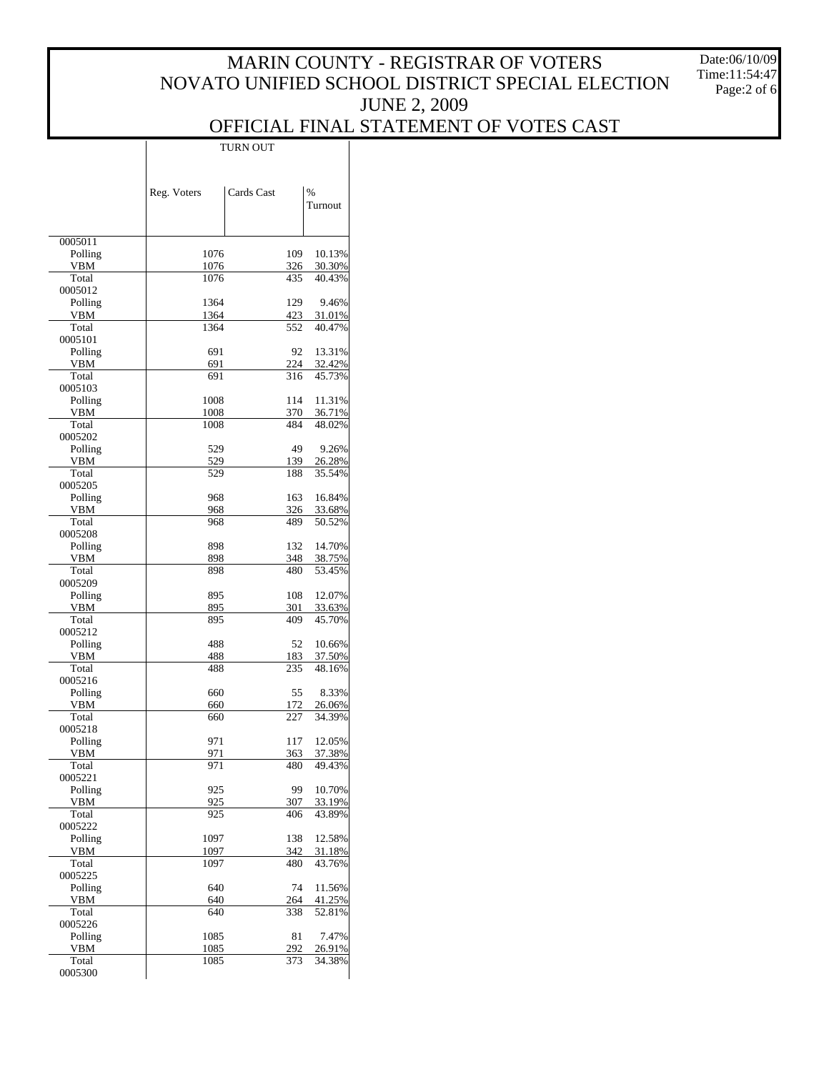Date:06/10/09 Time:11:54:47 Page:2 of 6

#### OFFICIAL FINAL STATEMENT OF VOTES CAST TURN OUT

|                    | Reg. Voters | Cards Cast |            | %<br>Turnout     |
|--------------------|-------------|------------|------------|------------------|
| 0005011            |             |            |            |                  |
| Polling            | 1076        |            | 109        | 10.13%           |
| VBM                | 1076        |            | 326        | 30.30%           |
| Total<br>0005012   | 1076        |            | 435        | 40.43%           |
| Polling            | 1364        |            | 129        | 9.46%            |
| VBM                | 1364        |            | 423        | 31.01%           |
| Total              | 1364        |            | 552        | 40.47%           |
| 0005101            |             |            |            |                  |
| Polling<br>VBM     | 691<br>691  |            | 92<br>224  | 13.31%<br>32.42% |
| Total              | 691         |            | 316        | 45.73%           |
| 0005103            |             |            |            |                  |
| Polling            | 1008        |            | 114        | 11.31%           |
| VBM                | 1008        |            | 370        | 36.71%           |
| Total<br>0005202   | 1008        |            | 484        | 48.02%           |
| Polling            | 529         |            | 49         | 9.26%            |
| VBM                | 529         |            | 139        | 26.28%           |
| Total              | 529         |            | 188        | 35.54%           |
| 0005205            |             |            |            |                  |
| Polling<br>VBM     | 968<br>968  |            | 163<br>326 | 16.84%<br>33.68% |
| Total              | 968         |            | 489        | 50.52%           |
| 0005208            |             |            |            |                  |
| Polling            | 898         |            | 132        | 14.70%           |
| VBM                | 898         |            | 348        | 38.75%           |
| Total<br>0005209   | 898         |            | 480        | 53.45%           |
| Polling            | 895         |            | 108        | 12.07%           |
| VBM                | 895         |            | 301        | 33.63%           |
| Total              | 895         |            | 409        | 45.70%           |
| 0005212            |             |            |            |                  |
| Polling<br>VBM     | 488<br>488  |            | 52<br>183  | 10.66%<br>37.50% |
| Total              | 488         |            | 235        | 48.16%           |
| 0005216            |             |            |            |                  |
| Polling            | 660         |            | 55         | 8.33%            |
| VBM                | 660         |            | 172        | 26.06%           |
| Total<br>0005218   | 660         |            | 227        | 34.39%           |
| Polling            | 971         |            | 117        | 12.05%           |
| VBM                | 971         |            | 363        | 37.38%           |
| Total              | 971         |            | 480        | 49.43%           |
| 0005221            |             |            |            |                  |
| Polling<br>VBM     | 925<br>925  |            | 99<br>307  | 10.70%<br>33.19% |
| Total              | 925         |            | 406        | 43.89%           |
| 0005222            |             |            |            |                  |
| Polling            | 1097        |            | 138        | 12.58%           |
| VBM<br>Total       | 1097        |            | 342        | 31.18%           |
| 0005225            | 1097        |            | 480        | 43.76%           |
| Polling            | 640         |            | 74         | 11.56%           |
| VBM                | 640         |            | 264        | 41.25%           |
| Total              | 640         |            | 338        | 52.81%           |
| 0005226<br>Polling | 1085        |            | 81         | 7.47%            |
| VBM                | 1085        |            | 292        | 26.91%           |
| Total              | 1085        |            | 373        | 34.38%           |
| 0005300            |             |            |            |                  |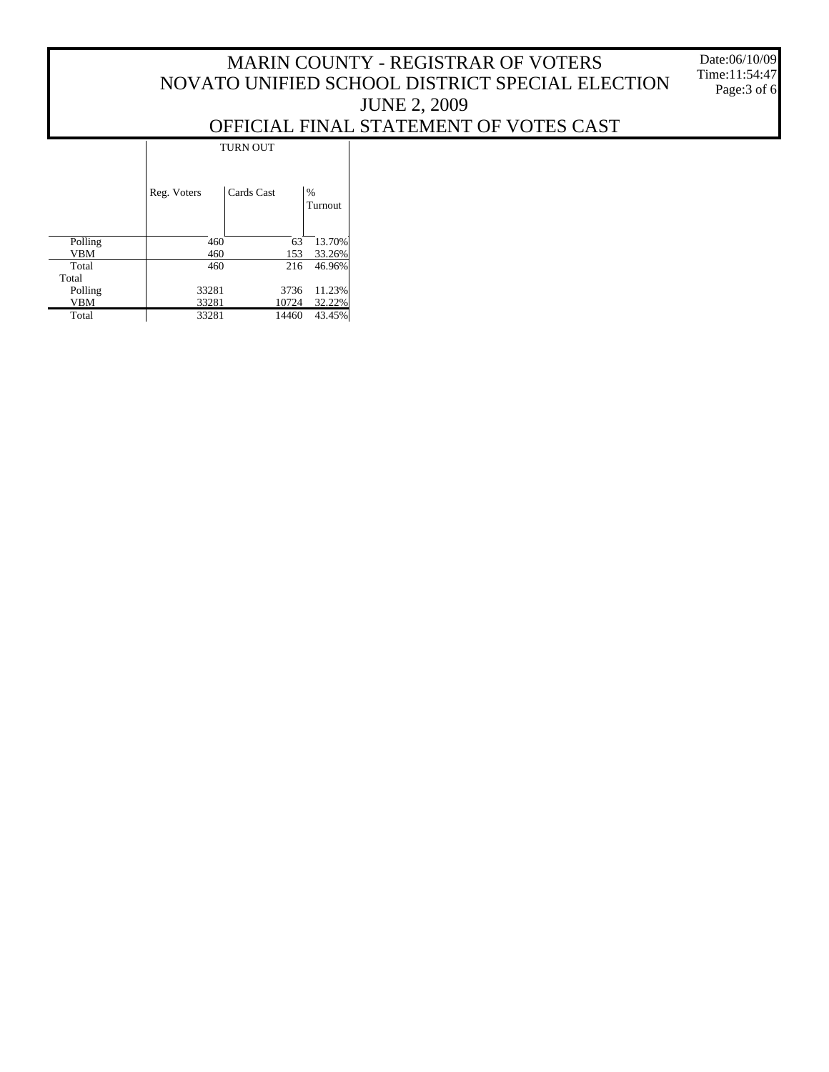Date:06/10/09 Time:11:54:47 Page:3 of 6

### OFFICIAL FINAL STATEMENT OF VOTES CAST

|            | <b>TURN OUT</b> |            |              |  |  |  |
|------------|-----------------|------------|--------------|--|--|--|
|            | Reg. Voters     | Cards Cast | %<br>Turnout |  |  |  |
| Polling    | 460             | 63         | 13.70%       |  |  |  |
| <b>VBM</b> | 460             | 153        | 33.26%       |  |  |  |
| Total      | 460             | 216        | 46.96%       |  |  |  |
| Total      |                 |            |              |  |  |  |
| Polling    | 33281           | 3736       | 11.23%       |  |  |  |
| <b>VBM</b> | 33281           | 10724      | 32.22%       |  |  |  |
| Total      | 33281           | 14460      | 43.45%       |  |  |  |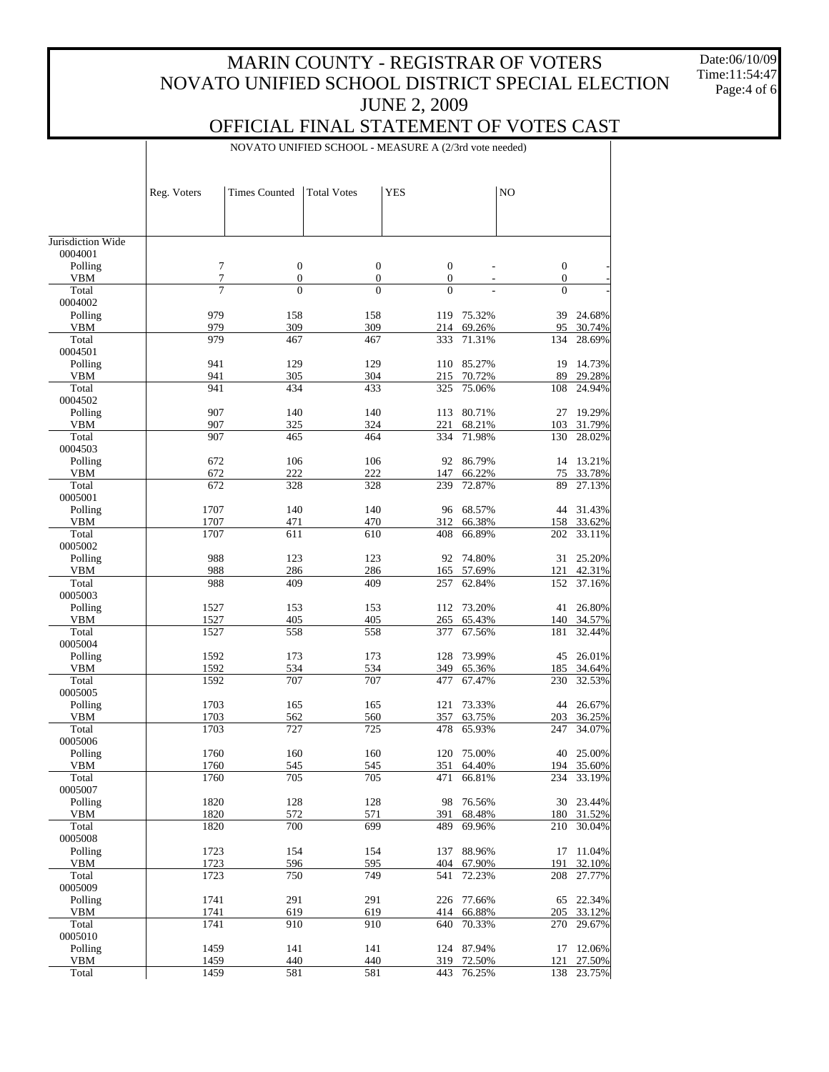Date:06/10/09 Time:11:54:47 Page:4 of 6

#### OFFICIAL FINAL STATEMENT OF VOTES CAST

NOVATO UNIFIED SCHOOL - MEASURE A (2/3rd vote needed)

| Jurisdiction Wide<br>0004001<br>$\tau$<br>$\mathbf{0}$<br>$\mathbf{0}$<br>Polling<br>$\boldsymbol{0}$<br>$\boldsymbol{0}$<br>7<br>$\boldsymbol{0}$<br>$\boldsymbol{0}$<br>$\boldsymbol{0}$<br>$\mathbf{0}$<br><b>VBM</b><br>$\overline{\phantom{a}}$<br>$\overline{7}$<br>$\overline{0}$<br>$\theta$<br>Total<br>$\overline{0}$<br>$\Omega$<br>0004002<br>979<br>Polling<br>158<br>158<br>75.32%<br>39<br>24.68%<br>119<br>979<br>309<br>309<br><b>VBM</b><br>214<br>69.26%<br>95<br>30.74%<br>979<br>Total<br>467<br>467<br>71.31%<br>134<br>28.69%<br>333<br>0004501<br>941<br>Polling<br>129<br>129<br>110<br>85.27%<br>19<br>14.73%<br>941<br>305<br>304<br>70.72%<br>89<br>29.28%<br><b>VBM</b><br>215<br>Total<br>941<br>434<br>433<br>75.06%<br>108<br>325<br>24.94%<br>0004502<br>907<br>140<br>19.29%<br>Polling<br>140<br>113<br>80.71%<br>27<br>907<br>325<br>324<br>68.21%<br>31.79%<br><b>VBM</b><br>221<br>103<br>Total<br>907<br>465<br>464<br>71.98%<br>130<br>334<br>28.02%<br>0004503<br>13.21%<br>Polling<br>672<br>106<br>106<br>92<br>86.79%<br>14<br>222<br>222<br>66.22%<br>33.78%<br><b>VBM</b><br>672<br>147<br>75<br>Total<br>672<br>328<br>72.87%<br>89<br>27.13%<br>328<br>239<br>0005001<br>1707<br>140<br>140<br>Polling<br>96<br>68.57%<br>44<br>31.43%<br>1707<br>470<br>66.38%<br><b>VBM</b><br>471<br>312<br>158<br>33.62%<br>Total<br>1707<br>610<br>66.89%<br>202<br>33.11%<br>611<br>408<br>0005002<br>988<br>25.20%<br>Polling<br>123<br>123<br>92<br>74.80%<br>31<br>988<br>286<br>286<br>57.69%<br>42.31%<br><b>VBM</b><br>165<br>121<br>988<br>Total<br>409<br>409<br>257<br>62.84%<br>152<br>37.16%<br>0005003<br>26.80%<br>Polling<br>1527<br>153<br>153<br>112<br>73.20%<br>41<br>405<br>65.43%<br><b>VBM</b><br>1527<br>405<br>265<br>140<br>34.57%<br>Total<br>1527<br>558<br>558<br>67.56%<br>181<br>32.44%<br>377<br>0005004<br>1592<br>26.01%<br>Polling<br>173<br>173<br>128<br>73.99%<br>45<br>1592<br>534<br>65.36%<br><b>VBM</b><br>534<br>349<br>185<br>34.64%<br>707<br>Total<br>1592<br>707<br>67.47%<br>230<br>32.53%<br>477<br>0005005<br>1703<br>Polling<br>165<br>165<br>121<br>73.33%<br>44<br>26.67%<br>1703<br>63.75%<br>36.25%<br><b>VBM</b><br>562<br>560<br>357<br>203<br>Total<br>1703<br>727<br>725<br>478<br>65.93%<br>247<br>34.07%<br>0005006<br>25.00%<br>Polling<br>1760<br>160<br>160<br>75.00%<br>40<br>120<br>VBM<br>1760<br>545<br>545<br>351<br>64.40%<br>194<br>35.60%<br>1760<br>705<br>705<br>471<br>Total<br>66.81%<br>234<br>33.19%<br>0005007<br>Polling<br>1820<br>128<br>128<br>76.56%<br>23.44%<br>98<br>30<br>1820<br>572<br>571<br>68.48%<br>180<br>31.52%<br><b>VBM</b><br>391<br>1820<br>700<br>699<br>69.96%<br>210<br>30.04%<br>Total<br>489<br>0005008<br>11.04%<br>1723<br>154<br>154<br>88.96%<br>Polling<br>137<br>17<br>1723<br>596<br>595<br>67.90%<br>191<br>32.10%<br><b>VBM</b><br>404<br>749<br>1723<br>750<br>208<br>27.77%<br>Total<br>541<br>72.23%<br>0005009<br>22.34%<br>1741<br>291<br>291<br>77.66%<br>Polling<br>226<br>65<br>1741<br>619<br>66.88%<br>33.12%<br><b>VBM</b><br>619<br>414<br>205<br>1741<br>910<br>910<br>Total<br>640<br>70.33%<br>270<br>29.67%<br>0005010<br>12.06%<br>Polling<br>1459<br>141<br>141<br>124 87.94%<br>17<br>1459<br>440<br>440<br>72.50%<br>27.50%<br>VBM<br>319<br>121<br>Total<br>1459<br>581<br>581<br>76.25%<br>443<br>138<br>23.75% | Reg. Voters | <b>Times Counted</b> | <b>Total Votes</b> | <b>YES</b> | N <sub>O</sub> |  |
|---------------------------------------------------------------------------------------------------------------------------------------------------------------------------------------------------------------------------------------------------------------------------------------------------------------------------------------------------------------------------------------------------------------------------------------------------------------------------------------------------------------------------------------------------------------------------------------------------------------------------------------------------------------------------------------------------------------------------------------------------------------------------------------------------------------------------------------------------------------------------------------------------------------------------------------------------------------------------------------------------------------------------------------------------------------------------------------------------------------------------------------------------------------------------------------------------------------------------------------------------------------------------------------------------------------------------------------------------------------------------------------------------------------------------------------------------------------------------------------------------------------------------------------------------------------------------------------------------------------------------------------------------------------------------------------------------------------------------------------------------------------------------------------------------------------------------------------------------------------------------------------------------------------------------------------------------------------------------------------------------------------------------------------------------------------------------------------------------------------------------------------------------------------------------------------------------------------------------------------------------------------------------------------------------------------------------------------------------------------------------------------------------------------------------------------------------------------------------------------------------------------------------------------------------------------------------------------------------------------------------------------------------------------------------------------------------------------------------------------------------------------------------------------------------------------------------------------------------------------------------------------------------------------------------------------------------------------------------------------------------------------------------------------------------------------------------------------------------------------------------------------------------------------------------------------------------------------------------------------------------------------------------------------------------------------------------------------------------------------------------------------------|-------------|----------------------|--------------------|------------|----------------|--|
|                                                                                                                                                                                                                                                                                                                                                                                                                                                                                                                                                                                                                                                                                                                                                                                                                                                                                                                                                                                                                                                                                                                                                                                                                                                                                                                                                                                                                                                                                                                                                                                                                                                                                                                                                                                                                                                                                                                                                                                                                                                                                                                                                                                                                                                                                                                                                                                                                                                                                                                                                                                                                                                                                                                                                                                                                                                                                                                                                                                                                                                                                                                                                                                                                                                                                                                                                                                             |             |                      |                    |            |                |  |
|                                                                                                                                                                                                                                                                                                                                                                                                                                                                                                                                                                                                                                                                                                                                                                                                                                                                                                                                                                                                                                                                                                                                                                                                                                                                                                                                                                                                                                                                                                                                                                                                                                                                                                                                                                                                                                                                                                                                                                                                                                                                                                                                                                                                                                                                                                                                                                                                                                                                                                                                                                                                                                                                                                                                                                                                                                                                                                                                                                                                                                                                                                                                                                                                                                                                                                                                                                                             |             |                      |                    |            |                |  |
|                                                                                                                                                                                                                                                                                                                                                                                                                                                                                                                                                                                                                                                                                                                                                                                                                                                                                                                                                                                                                                                                                                                                                                                                                                                                                                                                                                                                                                                                                                                                                                                                                                                                                                                                                                                                                                                                                                                                                                                                                                                                                                                                                                                                                                                                                                                                                                                                                                                                                                                                                                                                                                                                                                                                                                                                                                                                                                                                                                                                                                                                                                                                                                                                                                                                                                                                                                                             |             |                      |                    |            |                |  |
|                                                                                                                                                                                                                                                                                                                                                                                                                                                                                                                                                                                                                                                                                                                                                                                                                                                                                                                                                                                                                                                                                                                                                                                                                                                                                                                                                                                                                                                                                                                                                                                                                                                                                                                                                                                                                                                                                                                                                                                                                                                                                                                                                                                                                                                                                                                                                                                                                                                                                                                                                                                                                                                                                                                                                                                                                                                                                                                                                                                                                                                                                                                                                                                                                                                                                                                                                                                             |             |                      |                    |            |                |  |
|                                                                                                                                                                                                                                                                                                                                                                                                                                                                                                                                                                                                                                                                                                                                                                                                                                                                                                                                                                                                                                                                                                                                                                                                                                                                                                                                                                                                                                                                                                                                                                                                                                                                                                                                                                                                                                                                                                                                                                                                                                                                                                                                                                                                                                                                                                                                                                                                                                                                                                                                                                                                                                                                                                                                                                                                                                                                                                                                                                                                                                                                                                                                                                                                                                                                                                                                                                                             |             |                      |                    |            |                |  |
|                                                                                                                                                                                                                                                                                                                                                                                                                                                                                                                                                                                                                                                                                                                                                                                                                                                                                                                                                                                                                                                                                                                                                                                                                                                                                                                                                                                                                                                                                                                                                                                                                                                                                                                                                                                                                                                                                                                                                                                                                                                                                                                                                                                                                                                                                                                                                                                                                                                                                                                                                                                                                                                                                                                                                                                                                                                                                                                                                                                                                                                                                                                                                                                                                                                                                                                                                                                             |             |                      |                    |            |                |  |
|                                                                                                                                                                                                                                                                                                                                                                                                                                                                                                                                                                                                                                                                                                                                                                                                                                                                                                                                                                                                                                                                                                                                                                                                                                                                                                                                                                                                                                                                                                                                                                                                                                                                                                                                                                                                                                                                                                                                                                                                                                                                                                                                                                                                                                                                                                                                                                                                                                                                                                                                                                                                                                                                                                                                                                                                                                                                                                                                                                                                                                                                                                                                                                                                                                                                                                                                                                                             |             |                      |                    |            |                |  |
|                                                                                                                                                                                                                                                                                                                                                                                                                                                                                                                                                                                                                                                                                                                                                                                                                                                                                                                                                                                                                                                                                                                                                                                                                                                                                                                                                                                                                                                                                                                                                                                                                                                                                                                                                                                                                                                                                                                                                                                                                                                                                                                                                                                                                                                                                                                                                                                                                                                                                                                                                                                                                                                                                                                                                                                                                                                                                                                                                                                                                                                                                                                                                                                                                                                                                                                                                                                             |             |                      |                    |            |                |  |
|                                                                                                                                                                                                                                                                                                                                                                                                                                                                                                                                                                                                                                                                                                                                                                                                                                                                                                                                                                                                                                                                                                                                                                                                                                                                                                                                                                                                                                                                                                                                                                                                                                                                                                                                                                                                                                                                                                                                                                                                                                                                                                                                                                                                                                                                                                                                                                                                                                                                                                                                                                                                                                                                                                                                                                                                                                                                                                                                                                                                                                                                                                                                                                                                                                                                                                                                                                                             |             |                      |                    |            |                |  |
|                                                                                                                                                                                                                                                                                                                                                                                                                                                                                                                                                                                                                                                                                                                                                                                                                                                                                                                                                                                                                                                                                                                                                                                                                                                                                                                                                                                                                                                                                                                                                                                                                                                                                                                                                                                                                                                                                                                                                                                                                                                                                                                                                                                                                                                                                                                                                                                                                                                                                                                                                                                                                                                                                                                                                                                                                                                                                                                                                                                                                                                                                                                                                                                                                                                                                                                                                                                             |             |                      |                    |            |                |  |
|                                                                                                                                                                                                                                                                                                                                                                                                                                                                                                                                                                                                                                                                                                                                                                                                                                                                                                                                                                                                                                                                                                                                                                                                                                                                                                                                                                                                                                                                                                                                                                                                                                                                                                                                                                                                                                                                                                                                                                                                                                                                                                                                                                                                                                                                                                                                                                                                                                                                                                                                                                                                                                                                                                                                                                                                                                                                                                                                                                                                                                                                                                                                                                                                                                                                                                                                                                                             |             |                      |                    |            |                |  |
|                                                                                                                                                                                                                                                                                                                                                                                                                                                                                                                                                                                                                                                                                                                                                                                                                                                                                                                                                                                                                                                                                                                                                                                                                                                                                                                                                                                                                                                                                                                                                                                                                                                                                                                                                                                                                                                                                                                                                                                                                                                                                                                                                                                                                                                                                                                                                                                                                                                                                                                                                                                                                                                                                                                                                                                                                                                                                                                                                                                                                                                                                                                                                                                                                                                                                                                                                                                             |             |                      |                    |            |                |  |
|                                                                                                                                                                                                                                                                                                                                                                                                                                                                                                                                                                                                                                                                                                                                                                                                                                                                                                                                                                                                                                                                                                                                                                                                                                                                                                                                                                                                                                                                                                                                                                                                                                                                                                                                                                                                                                                                                                                                                                                                                                                                                                                                                                                                                                                                                                                                                                                                                                                                                                                                                                                                                                                                                                                                                                                                                                                                                                                                                                                                                                                                                                                                                                                                                                                                                                                                                                                             |             |                      |                    |            |                |  |
|                                                                                                                                                                                                                                                                                                                                                                                                                                                                                                                                                                                                                                                                                                                                                                                                                                                                                                                                                                                                                                                                                                                                                                                                                                                                                                                                                                                                                                                                                                                                                                                                                                                                                                                                                                                                                                                                                                                                                                                                                                                                                                                                                                                                                                                                                                                                                                                                                                                                                                                                                                                                                                                                                                                                                                                                                                                                                                                                                                                                                                                                                                                                                                                                                                                                                                                                                                                             |             |                      |                    |            |                |  |
|                                                                                                                                                                                                                                                                                                                                                                                                                                                                                                                                                                                                                                                                                                                                                                                                                                                                                                                                                                                                                                                                                                                                                                                                                                                                                                                                                                                                                                                                                                                                                                                                                                                                                                                                                                                                                                                                                                                                                                                                                                                                                                                                                                                                                                                                                                                                                                                                                                                                                                                                                                                                                                                                                                                                                                                                                                                                                                                                                                                                                                                                                                                                                                                                                                                                                                                                                                                             |             |                      |                    |            |                |  |
|                                                                                                                                                                                                                                                                                                                                                                                                                                                                                                                                                                                                                                                                                                                                                                                                                                                                                                                                                                                                                                                                                                                                                                                                                                                                                                                                                                                                                                                                                                                                                                                                                                                                                                                                                                                                                                                                                                                                                                                                                                                                                                                                                                                                                                                                                                                                                                                                                                                                                                                                                                                                                                                                                                                                                                                                                                                                                                                                                                                                                                                                                                                                                                                                                                                                                                                                                                                             |             |                      |                    |            |                |  |
|                                                                                                                                                                                                                                                                                                                                                                                                                                                                                                                                                                                                                                                                                                                                                                                                                                                                                                                                                                                                                                                                                                                                                                                                                                                                                                                                                                                                                                                                                                                                                                                                                                                                                                                                                                                                                                                                                                                                                                                                                                                                                                                                                                                                                                                                                                                                                                                                                                                                                                                                                                                                                                                                                                                                                                                                                                                                                                                                                                                                                                                                                                                                                                                                                                                                                                                                                                                             |             |                      |                    |            |                |  |
|                                                                                                                                                                                                                                                                                                                                                                                                                                                                                                                                                                                                                                                                                                                                                                                                                                                                                                                                                                                                                                                                                                                                                                                                                                                                                                                                                                                                                                                                                                                                                                                                                                                                                                                                                                                                                                                                                                                                                                                                                                                                                                                                                                                                                                                                                                                                                                                                                                                                                                                                                                                                                                                                                                                                                                                                                                                                                                                                                                                                                                                                                                                                                                                                                                                                                                                                                                                             |             |                      |                    |            |                |  |
|                                                                                                                                                                                                                                                                                                                                                                                                                                                                                                                                                                                                                                                                                                                                                                                                                                                                                                                                                                                                                                                                                                                                                                                                                                                                                                                                                                                                                                                                                                                                                                                                                                                                                                                                                                                                                                                                                                                                                                                                                                                                                                                                                                                                                                                                                                                                                                                                                                                                                                                                                                                                                                                                                                                                                                                                                                                                                                                                                                                                                                                                                                                                                                                                                                                                                                                                                                                             |             |                      |                    |            |                |  |
|                                                                                                                                                                                                                                                                                                                                                                                                                                                                                                                                                                                                                                                                                                                                                                                                                                                                                                                                                                                                                                                                                                                                                                                                                                                                                                                                                                                                                                                                                                                                                                                                                                                                                                                                                                                                                                                                                                                                                                                                                                                                                                                                                                                                                                                                                                                                                                                                                                                                                                                                                                                                                                                                                                                                                                                                                                                                                                                                                                                                                                                                                                                                                                                                                                                                                                                                                                                             |             |                      |                    |            |                |  |
|                                                                                                                                                                                                                                                                                                                                                                                                                                                                                                                                                                                                                                                                                                                                                                                                                                                                                                                                                                                                                                                                                                                                                                                                                                                                                                                                                                                                                                                                                                                                                                                                                                                                                                                                                                                                                                                                                                                                                                                                                                                                                                                                                                                                                                                                                                                                                                                                                                                                                                                                                                                                                                                                                                                                                                                                                                                                                                                                                                                                                                                                                                                                                                                                                                                                                                                                                                                             |             |                      |                    |            |                |  |
|                                                                                                                                                                                                                                                                                                                                                                                                                                                                                                                                                                                                                                                                                                                                                                                                                                                                                                                                                                                                                                                                                                                                                                                                                                                                                                                                                                                                                                                                                                                                                                                                                                                                                                                                                                                                                                                                                                                                                                                                                                                                                                                                                                                                                                                                                                                                                                                                                                                                                                                                                                                                                                                                                                                                                                                                                                                                                                                                                                                                                                                                                                                                                                                                                                                                                                                                                                                             |             |                      |                    |            |                |  |
|                                                                                                                                                                                                                                                                                                                                                                                                                                                                                                                                                                                                                                                                                                                                                                                                                                                                                                                                                                                                                                                                                                                                                                                                                                                                                                                                                                                                                                                                                                                                                                                                                                                                                                                                                                                                                                                                                                                                                                                                                                                                                                                                                                                                                                                                                                                                                                                                                                                                                                                                                                                                                                                                                                                                                                                                                                                                                                                                                                                                                                                                                                                                                                                                                                                                                                                                                                                             |             |                      |                    |            |                |  |
|                                                                                                                                                                                                                                                                                                                                                                                                                                                                                                                                                                                                                                                                                                                                                                                                                                                                                                                                                                                                                                                                                                                                                                                                                                                                                                                                                                                                                                                                                                                                                                                                                                                                                                                                                                                                                                                                                                                                                                                                                                                                                                                                                                                                                                                                                                                                                                                                                                                                                                                                                                                                                                                                                                                                                                                                                                                                                                                                                                                                                                                                                                                                                                                                                                                                                                                                                                                             |             |                      |                    |            |                |  |
|                                                                                                                                                                                                                                                                                                                                                                                                                                                                                                                                                                                                                                                                                                                                                                                                                                                                                                                                                                                                                                                                                                                                                                                                                                                                                                                                                                                                                                                                                                                                                                                                                                                                                                                                                                                                                                                                                                                                                                                                                                                                                                                                                                                                                                                                                                                                                                                                                                                                                                                                                                                                                                                                                                                                                                                                                                                                                                                                                                                                                                                                                                                                                                                                                                                                                                                                                                                             |             |                      |                    |            |                |  |
|                                                                                                                                                                                                                                                                                                                                                                                                                                                                                                                                                                                                                                                                                                                                                                                                                                                                                                                                                                                                                                                                                                                                                                                                                                                                                                                                                                                                                                                                                                                                                                                                                                                                                                                                                                                                                                                                                                                                                                                                                                                                                                                                                                                                                                                                                                                                                                                                                                                                                                                                                                                                                                                                                                                                                                                                                                                                                                                                                                                                                                                                                                                                                                                                                                                                                                                                                                                             |             |                      |                    |            |                |  |
|                                                                                                                                                                                                                                                                                                                                                                                                                                                                                                                                                                                                                                                                                                                                                                                                                                                                                                                                                                                                                                                                                                                                                                                                                                                                                                                                                                                                                                                                                                                                                                                                                                                                                                                                                                                                                                                                                                                                                                                                                                                                                                                                                                                                                                                                                                                                                                                                                                                                                                                                                                                                                                                                                                                                                                                                                                                                                                                                                                                                                                                                                                                                                                                                                                                                                                                                                                                             |             |                      |                    |            |                |  |
|                                                                                                                                                                                                                                                                                                                                                                                                                                                                                                                                                                                                                                                                                                                                                                                                                                                                                                                                                                                                                                                                                                                                                                                                                                                                                                                                                                                                                                                                                                                                                                                                                                                                                                                                                                                                                                                                                                                                                                                                                                                                                                                                                                                                                                                                                                                                                                                                                                                                                                                                                                                                                                                                                                                                                                                                                                                                                                                                                                                                                                                                                                                                                                                                                                                                                                                                                                                             |             |                      |                    |            |                |  |
|                                                                                                                                                                                                                                                                                                                                                                                                                                                                                                                                                                                                                                                                                                                                                                                                                                                                                                                                                                                                                                                                                                                                                                                                                                                                                                                                                                                                                                                                                                                                                                                                                                                                                                                                                                                                                                                                                                                                                                                                                                                                                                                                                                                                                                                                                                                                                                                                                                                                                                                                                                                                                                                                                                                                                                                                                                                                                                                                                                                                                                                                                                                                                                                                                                                                                                                                                                                             |             |                      |                    |            |                |  |
|                                                                                                                                                                                                                                                                                                                                                                                                                                                                                                                                                                                                                                                                                                                                                                                                                                                                                                                                                                                                                                                                                                                                                                                                                                                                                                                                                                                                                                                                                                                                                                                                                                                                                                                                                                                                                                                                                                                                                                                                                                                                                                                                                                                                                                                                                                                                                                                                                                                                                                                                                                                                                                                                                                                                                                                                                                                                                                                                                                                                                                                                                                                                                                                                                                                                                                                                                                                             |             |                      |                    |            |                |  |
|                                                                                                                                                                                                                                                                                                                                                                                                                                                                                                                                                                                                                                                                                                                                                                                                                                                                                                                                                                                                                                                                                                                                                                                                                                                                                                                                                                                                                                                                                                                                                                                                                                                                                                                                                                                                                                                                                                                                                                                                                                                                                                                                                                                                                                                                                                                                                                                                                                                                                                                                                                                                                                                                                                                                                                                                                                                                                                                                                                                                                                                                                                                                                                                                                                                                                                                                                                                             |             |                      |                    |            |                |  |
|                                                                                                                                                                                                                                                                                                                                                                                                                                                                                                                                                                                                                                                                                                                                                                                                                                                                                                                                                                                                                                                                                                                                                                                                                                                                                                                                                                                                                                                                                                                                                                                                                                                                                                                                                                                                                                                                                                                                                                                                                                                                                                                                                                                                                                                                                                                                                                                                                                                                                                                                                                                                                                                                                                                                                                                                                                                                                                                                                                                                                                                                                                                                                                                                                                                                                                                                                                                             |             |                      |                    |            |                |  |
|                                                                                                                                                                                                                                                                                                                                                                                                                                                                                                                                                                                                                                                                                                                                                                                                                                                                                                                                                                                                                                                                                                                                                                                                                                                                                                                                                                                                                                                                                                                                                                                                                                                                                                                                                                                                                                                                                                                                                                                                                                                                                                                                                                                                                                                                                                                                                                                                                                                                                                                                                                                                                                                                                                                                                                                                                                                                                                                                                                                                                                                                                                                                                                                                                                                                                                                                                                                             |             |                      |                    |            |                |  |
|                                                                                                                                                                                                                                                                                                                                                                                                                                                                                                                                                                                                                                                                                                                                                                                                                                                                                                                                                                                                                                                                                                                                                                                                                                                                                                                                                                                                                                                                                                                                                                                                                                                                                                                                                                                                                                                                                                                                                                                                                                                                                                                                                                                                                                                                                                                                                                                                                                                                                                                                                                                                                                                                                                                                                                                                                                                                                                                                                                                                                                                                                                                                                                                                                                                                                                                                                                                             |             |                      |                    |            |                |  |
|                                                                                                                                                                                                                                                                                                                                                                                                                                                                                                                                                                                                                                                                                                                                                                                                                                                                                                                                                                                                                                                                                                                                                                                                                                                                                                                                                                                                                                                                                                                                                                                                                                                                                                                                                                                                                                                                                                                                                                                                                                                                                                                                                                                                                                                                                                                                                                                                                                                                                                                                                                                                                                                                                                                                                                                                                                                                                                                                                                                                                                                                                                                                                                                                                                                                                                                                                                                             |             |                      |                    |            |                |  |
|                                                                                                                                                                                                                                                                                                                                                                                                                                                                                                                                                                                                                                                                                                                                                                                                                                                                                                                                                                                                                                                                                                                                                                                                                                                                                                                                                                                                                                                                                                                                                                                                                                                                                                                                                                                                                                                                                                                                                                                                                                                                                                                                                                                                                                                                                                                                                                                                                                                                                                                                                                                                                                                                                                                                                                                                                                                                                                                                                                                                                                                                                                                                                                                                                                                                                                                                                                                             |             |                      |                    |            |                |  |
|                                                                                                                                                                                                                                                                                                                                                                                                                                                                                                                                                                                                                                                                                                                                                                                                                                                                                                                                                                                                                                                                                                                                                                                                                                                                                                                                                                                                                                                                                                                                                                                                                                                                                                                                                                                                                                                                                                                                                                                                                                                                                                                                                                                                                                                                                                                                                                                                                                                                                                                                                                                                                                                                                                                                                                                                                                                                                                                                                                                                                                                                                                                                                                                                                                                                                                                                                                                             |             |                      |                    |            |                |  |
|                                                                                                                                                                                                                                                                                                                                                                                                                                                                                                                                                                                                                                                                                                                                                                                                                                                                                                                                                                                                                                                                                                                                                                                                                                                                                                                                                                                                                                                                                                                                                                                                                                                                                                                                                                                                                                                                                                                                                                                                                                                                                                                                                                                                                                                                                                                                                                                                                                                                                                                                                                                                                                                                                                                                                                                                                                                                                                                                                                                                                                                                                                                                                                                                                                                                                                                                                                                             |             |                      |                    |            |                |  |
|                                                                                                                                                                                                                                                                                                                                                                                                                                                                                                                                                                                                                                                                                                                                                                                                                                                                                                                                                                                                                                                                                                                                                                                                                                                                                                                                                                                                                                                                                                                                                                                                                                                                                                                                                                                                                                                                                                                                                                                                                                                                                                                                                                                                                                                                                                                                                                                                                                                                                                                                                                                                                                                                                                                                                                                                                                                                                                                                                                                                                                                                                                                                                                                                                                                                                                                                                                                             |             |                      |                    |            |                |  |
|                                                                                                                                                                                                                                                                                                                                                                                                                                                                                                                                                                                                                                                                                                                                                                                                                                                                                                                                                                                                                                                                                                                                                                                                                                                                                                                                                                                                                                                                                                                                                                                                                                                                                                                                                                                                                                                                                                                                                                                                                                                                                                                                                                                                                                                                                                                                                                                                                                                                                                                                                                                                                                                                                                                                                                                                                                                                                                                                                                                                                                                                                                                                                                                                                                                                                                                                                                                             |             |                      |                    |            |                |  |
|                                                                                                                                                                                                                                                                                                                                                                                                                                                                                                                                                                                                                                                                                                                                                                                                                                                                                                                                                                                                                                                                                                                                                                                                                                                                                                                                                                                                                                                                                                                                                                                                                                                                                                                                                                                                                                                                                                                                                                                                                                                                                                                                                                                                                                                                                                                                                                                                                                                                                                                                                                                                                                                                                                                                                                                                                                                                                                                                                                                                                                                                                                                                                                                                                                                                                                                                                                                             |             |                      |                    |            |                |  |
|                                                                                                                                                                                                                                                                                                                                                                                                                                                                                                                                                                                                                                                                                                                                                                                                                                                                                                                                                                                                                                                                                                                                                                                                                                                                                                                                                                                                                                                                                                                                                                                                                                                                                                                                                                                                                                                                                                                                                                                                                                                                                                                                                                                                                                                                                                                                                                                                                                                                                                                                                                                                                                                                                                                                                                                                                                                                                                                                                                                                                                                                                                                                                                                                                                                                                                                                                                                             |             |                      |                    |            |                |  |
|                                                                                                                                                                                                                                                                                                                                                                                                                                                                                                                                                                                                                                                                                                                                                                                                                                                                                                                                                                                                                                                                                                                                                                                                                                                                                                                                                                                                                                                                                                                                                                                                                                                                                                                                                                                                                                                                                                                                                                                                                                                                                                                                                                                                                                                                                                                                                                                                                                                                                                                                                                                                                                                                                                                                                                                                                                                                                                                                                                                                                                                                                                                                                                                                                                                                                                                                                                                             |             |                      |                    |            |                |  |
|                                                                                                                                                                                                                                                                                                                                                                                                                                                                                                                                                                                                                                                                                                                                                                                                                                                                                                                                                                                                                                                                                                                                                                                                                                                                                                                                                                                                                                                                                                                                                                                                                                                                                                                                                                                                                                                                                                                                                                                                                                                                                                                                                                                                                                                                                                                                                                                                                                                                                                                                                                                                                                                                                                                                                                                                                                                                                                                                                                                                                                                                                                                                                                                                                                                                                                                                                                                             |             |                      |                    |            |                |  |
|                                                                                                                                                                                                                                                                                                                                                                                                                                                                                                                                                                                                                                                                                                                                                                                                                                                                                                                                                                                                                                                                                                                                                                                                                                                                                                                                                                                                                                                                                                                                                                                                                                                                                                                                                                                                                                                                                                                                                                                                                                                                                                                                                                                                                                                                                                                                                                                                                                                                                                                                                                                                                                                                                                                                                                                                                                                                                                                                                                                                                                                                                                                                                                                                                                                                                                                                                                                             |             |                      |                    |            |                |  |
|                                                                                                                                                                                                                                                                                                                                                                                                                                                                                                                                                                                                                                                                                                                                                                                                                                                                                                                                                                                                                                                                                                                                                                                                                                                                                                                                                                                                                                                                                                                                                                                                                                                                                                                                                                                                                                                                                                                                                                                                                                                                                                                                                                                                                                                                                                                                                                                                                                                                                                                                                                                                                                                                                                                                                                                                                                                                                                                                                                                                                                                                                                                                                                                                                                                                                                                                                                                             |             |                      |                    |            |                |  |
|                                                                                                                                                                                                                                                                                                                                                                                                                                                                                                                                                                                                                                                                                                                                                                                                                                                                                                                                                                                                                                                                                                                                                                                                                                                                                                                                                                                                                                                                                                                                                                                                                                                                                                                                                                                                                                                                                                                                                                                                                                                                                                                                                                                                                                                                                                                                                                                                                                                                                                                                                                                                                                                                                                                                                                                                                                                                                                                                                                                                                                                                                                                                                                                                                                                                                                                                                                                             |             |                      |                    |            |                |  |
|                                                                                                                                                                                                                                                                                                                                                                                                                                                                                                                                                                                                                                                                                                                                                                                                                                                                                                                                                                                                                                                                                                                                                                                                                                                                                                                                                                                                                                                                                                                                                                                                                                                                                                                                                                                                                                                                                                                                                                                                                                                                                                                                                                                                                                                                                                                                                                                                                                                                                                                                                                                                                                                                                                                                                                                                                                                                                                                                                                                                                                                                                                                                                                                                                                                                                                                                                                                             |             |                      |                    |            |                |  |
|                                                                                                                                                                                                                                                                                                                                                                                                                                                                                                                                                                                                                                                                                                                                                                                                                                                                                                                                                                                                                                                                                                                                                                                                                                                                                                                                                                                                                                                                                                                                                                                                                                                                                                                                                                                                                                                                                                                                                                                                                                                                                                                                                                                                                                                                                                                                                                                                                                                                                                                                                                                                                                                                                                                                                                                                                                                                                                                                                                                                                                                                                                                                                                                                                                                                                                                                                                                             |             |                      |                    |            |                |  |
|                                                                                                                                                                                                                                                                                                                                                                                                                                                                                                                                                                                                                                                                                                                                                                                                                                                                                                                                                                                                                                                                                                                                                                                                                                                                                                                                                                                                                                                                                                                                                                                                                                                                                                                                                                                                                                                                                                                                                                                                                                                                                                                                                                                                                                                                                                                                                                                                                                                                                                                                                                                                                                                                                                                                                                                                                                                                                                                                                                                                                                                                                                                                                                                                                                                                                                                                                                                             |             |                      |                    |            |                |  |
|                                                                                                                                                                                                                                                                                                                                                                                                                                                                                                                                                                                                                                                                                                                                                                                                                                                                                                                                                                                                                                                                                                                                                                                                                                                                                                                                                                                                                                                                                                                                                                                                                                                                                                                                                                                                                                                                                                                                                                                                                                                                                                                                                                                                                                                                                                                                                                                                                                                                                                                                                                                                                                                                                                                                                                                                                                                                                                                                                                                                                                                                                                                                                                                                                                                                                                                                                                                             |             |                      |                    |            |                |  |
|                                                                                                                                                                                                                                                                                                                                                                                                                                                                                                                                                                                                                                                                                                                                                                                                                                                                                                                                                                                                                                                                                                                                                                                                                                                                                                                                                                                                                                                                                                                                                                                                                                                                                                                                                                                                                                                                                                                                                                                                                                                                                                                                                                                                                                                                                                                                                                                                                                                                                                                                                                                                                                                                                                                                                                                                                                                                                                                                                                                                                                                                                                                                                                                                                                                                                                                                                                                             |             |                      |                    |            |                |  |
|                                                                                                                                                                                                                                                                                                                                                                                                                                                                                                                                                                                                                                                                                                                                                                                                                                                                                                                                                                                                                                                                                                                                                                                                                                                                                                                                                                                                                                                                                                                                                                                                                                                                                                                                                                                                                                                                                                                                                                                                                                                                                                                                                                                                                                                                                                                                                                                                                                                                                                                                                                                                                                                                                                                                                                                                                                                                                                                                                                                                                                                                                                                                                                                                                                                                                                                                                                                             |             |                      |                    |            |                |  |
|                                                                                                                                                                                                                                                                                                                                                                                                                                                                                                                                                                                                                                                                                                                                                                                                                                                                                                                                                                                                                                                                                                                                                                                                                                                                                                                                                                                                                                                                                                                                                                                                                                                                                                                                                                                                                                                                                                                                                                                                                                                                                                                                                                                                                                                                                                                                                                                                                                                                                                                                                                                                                                                                                                                                                                                                                                                                                                                                                                                                                                                                                                                                                                                                                                                                                                                                                                                             |             |                      |                    |            |                |  |
|                                                                                                                                                                                                                                                                                                                                                                                                                                                                                                                                                                                                                                                                                                                                                                                                                                                                                                                                                                                                                                                                                                                                                                                                                                                                                                                                                                                                                                                                                                                                                                                                                                                                                                                                                                                                                                                                                                                                                                                                                                                                                                                                                                                                                                                                                                                                                                                                                                                                                                                                                                                                                                                                                                                                                                                                                                                                                                                                                                                                                                                                                                                                                                                                                                                                                                                                                                                             |             |                      |                    |            |                |  |
|                                                                                                                                                                                                                                                                                                                                                                                                                                                                                                                                                                                                                                                                                                                                                                                                                                                                                                                                                                                                                                                                                                                                                                                                                                                                                                                                                                                                                                                                                                                                                                                                                                                                                                                                                                                                                                                                                                                                                                                                                                                                                                                                                                                                                                                                                                                                                                                                                                                                                                                                                                                                                                                                                                                                                                                                                                                                                                                                                                                                                                                                                                                                                                                                                                                                                                                                                                                             |             |                      |                    |            |                |  |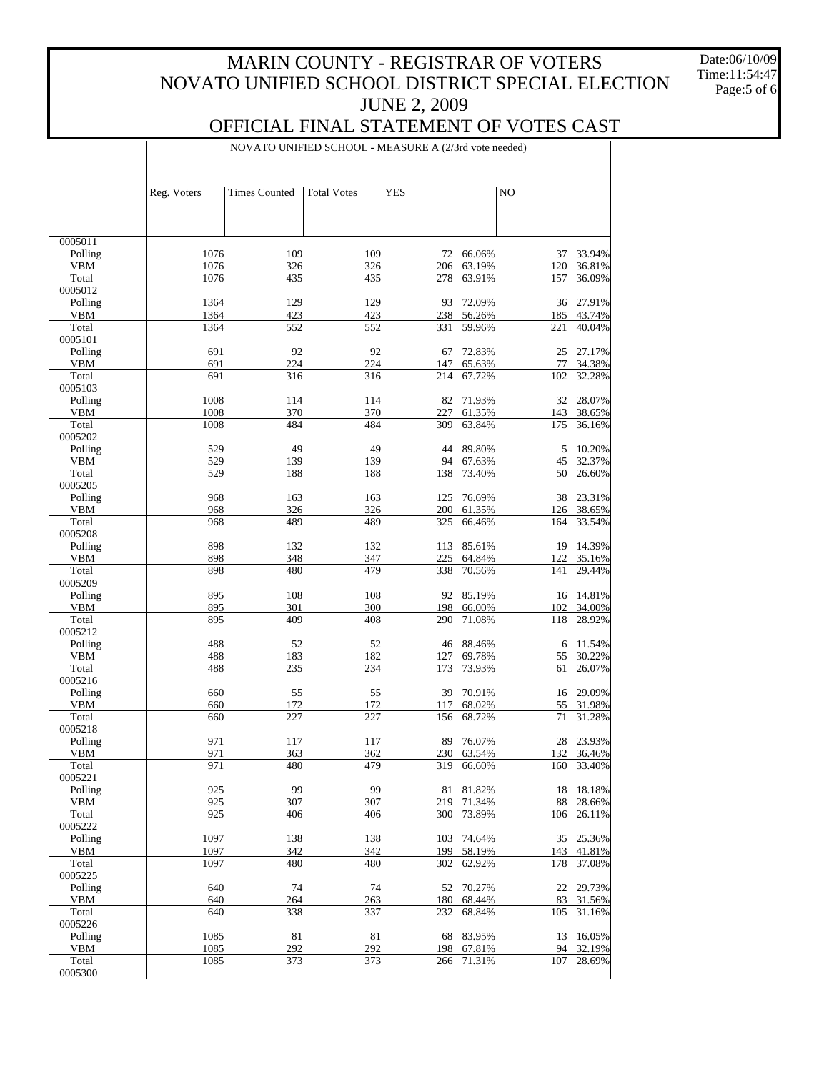Date:06/10/09 Time:11:54:47 Page:5 of 6

# OFFICIAL FINAL STATEMENT OF VOTES CAST

NOVATO UNIFIED SCHOOL - MEASURE A (2/3rd vote needed)

|                  | Reg. Voters | <b>Times Counted</b> | <b>Total Votes</b> | <b>YES</b> |                  | N <sub>O</sub> |                  |
|------------------|-------------|----------------------|--------------------|------------|------------------|----------------|------------------|
|                  |             |                      |                    |            |                  |                |                  |
| 0005011          |             |                      |                    |            |                  |                |                  |
| Polling          | 1076        | 109                  | 109                | 72         | 66.06%           | 37             | 33.94%           |
| VBM              | 1076        | 326                  | 326                | 206        | 63.19%           | 120            | 36.81%           |
| Total            | 1076        | 435                  | 435                | 278        | 63.91%           | 157            | 36.09%           |
| 0005012          | 1364        | 129                  | 129                | 93         | 72.09%           | 36             | 27.91%           |
| Polling<br>VBM   | 1364        | 423                  | 423                | 238        | 56.26%           | 185            | 43.74%           |
| Total            | 1364        | 552                  | 552                | 331        | 59.96%           | 221            | 40.04%           |
| 0005101          |             |                      |                    |            |                  |                |                  |
| Polling          | 691         | 92                   | 92                 | 67         | 72.83%           | 25             | 27.17%           |
| VBM              | 691         | 224                  | 224                | 147        | 65.63%           | 77             | 34.38%           |
| Total            | 691         | 316                  | 316                | 214        | 67.72%           | 102            | 32.28%           |
| 0005103          |             |                      |                    |            |                  |                |                  |
| Polling          | 1008        | 114                  | 114                | 82         | 71.93%           | 32             | 28.07%           |
| VBM              | 1008        | 370                  | 370                | 227        | 61.35%           | 143            | 38.65%           |
| Total<br>0005202 | 1008        | 484                  | 484                | 309        | 63.84%           | 175            | 36.16%           |
| Polling          | 529         | 49                   | 49                 | 44         | 89.80%           | 5              | 10.20%           |
| VBM              | 529         | 139                  | 139                | 94         | 67.63%           | 45             | 32.37%           |
| Total            | 529         | 188                  | 188                | 138        | 73.40%           | 50             | 26.60%           |
| 0005205          |             |                      |                    |            |                  |                |                  |
| Polling          | 968         | 163                  | 163                | 125        | 76.69%           | 38             | 23.31%           |
| VBM              | 968         | 326                  | 326                | 200        | 61.35%           | 126            | 38.65%           |
| Total            | 968         | 489                  | 489                | 325        | 66.46%           | 164            | 33.54%           |
| 0005208          |             |                      |                    |            |                  |                |                  |
| Polling          | 898         | 132                  | 132                | 113        | 85.61%           | 19             | 14.39%           |
| VBM              | 898         | 348                  | 347                | 225        | 64.84%           | 122            | 35.16%           |
| Total<br>0005209 | 898         | 480                  | 479                | 338        | 70.56%           | 141            | 29.44%           |
| Polling          | 895         | 108                  | 108                | 92         | 85.19%           | 16             | 14.81%           |
| VBM              | 895         | 301                  | 300                | 198        | 66.00%           | 102            | 34.00%           |
| Total            | 895         | 409                  | 408                | 290        | 71.08%           | 118            | 28.92%           |
| 0005212          |             |                      |                    |            |                  |                |                  |
| Polling          | 488         | 52                   | 52                 | 46         | 88.46%           | 6              | 11.54%           |
| VBM              | 488         | 183                  | 182                | 127        | 69.78%           | 55             | 30.22%           |
| Total            | 488         | 235                  | 234                | 173        | 73.93%           | 61             | 26.07%           |
| 0005216          |             |                      |                    |            |                  |                |                  |
| Polling          | 660         | 55                   | 55                 | 39         | 70.91%           | 16             | 29.09%           |
| VBM<br>Total     | 660<br>660  | 172<br>227           | 172<br>227         | 117<br>156 | 68.02%<br>68.72% | 55<br>71       | 31.98%<br>31.28% |
| 0005218          |             |                      |                    |            |                  |                |                  |
| Polling          | 971         | 117                  | 117                | 89         | 76.07%           | 28             | 23.93%           |
| VBM              | 971         | 363                  | 362                | 230        | 63.54%           | 132            | 36.46%           |
| Total            | 971         | 480                  | 479                | 319        | 66.60%           | 160            | 33.40%           |
| 0005221          |             |                      |                    |            |                  |                |                  |
| Polling          | 925         | 99                   | 99                 |            | 81 81.82%        | 18             | 18.18%           |
| <b>VBM</b>       | 925         | 307                  | 307                | 219        | 71.34%           | 88             | 28.66%           |
| Total            | 925         | 406                  | 406                | 300        | 73.89%           | 106            | 26.11%           |
| 0005222          |             |                      |                    |            |                  |                |                  |
| Polling          | 1097        | 138                  | 138                | 103        | 74.64%           | 35             | 25.36%           |
| <b>VBM</b>       | 1097        | 342                  | 342                | 199        | 58.19%           | 143            | 41.81%           |
| Total<br>0005225 | 1097        | 480                  | 480                | 302        | 62.92%           | 178            | 37.08%           |
| Polling          | 640         | 74                   | 74                 | 52         | 70.27%           | 22             | 29.73%           |
| <b>VBM</b>       | 640         | 264                  | 263                | 180        | 68.44%           | 83             | 31.56%           |
| Total            | 640         | 338                  | 337                | 232        | 68.84%           | 105            | 31.16%           |
| 0005226          |             |                      |                    |            |                  |                |                  |
| Polling          | 1085        | 81                   | 81                 | 68         | 83.95%           | 13             | 16.05%           |
| <b>VBM</b>       | 1085        | 292                  | 292                | 198        | 67.81%           | 94             | 32.19%           |
| Total            | 1085        | 373                  | 373                | 266        | 71.31%           | 107            | 28.69%           |
| 0005300          |             |                      |                    |            |                  |                |                  |